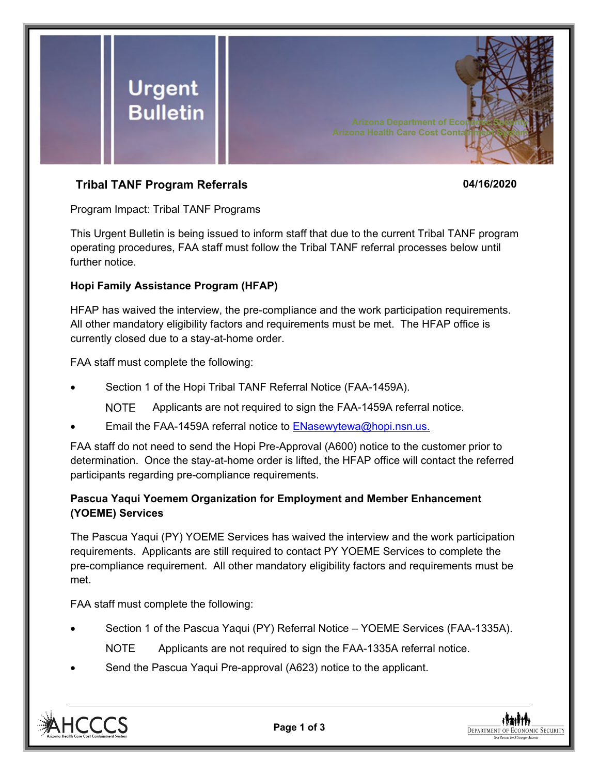

# **Tribal TANF Program Referrals 04/16/2020**

Program Impact: Tribal TANF Programs

This Urgent Bulletin is being issued to inform staff that due to the current Tribal TANF program operating procedures, FAA staff must follow the Tribal TANF referral processes below until further notice.

## **Hopi Family Assistance Program (HFAP)**

HFAP has waived the interview, the pre-compliance and the work participation requirements. All other mandatory eligibility factors and requirements must be met. The HFAP office is currently closed due to a stay-at-home order.

FAA staff must complete the following:

- Section 1 of the Hopi Tribal TANF Referral Notice (FAA-1459A).
	- **NOTE** Applicants are not required to sign the FAA-1459A referral notice.
- Email the FAA-1459A referral notice to [ENasewytewa@hopi.nsn.us.](mailto:ENasewytewa@hopi.nsn.us)

FAA staff do not need to send the Hopi Pre-Approval (A600) notice to the customer prior to determination. Once the stay-at-home order is lifted, the HFAP office will contact the referred participants regarding pre-compliance requirements.

## **Pascua Yaqui Yoemem Organization for Employment and Member Enhancement (YOEME) Services**

The Pascua Yaqui (PY) YOEME Services has waived the interview and the work participation requirements. Applicants are still required to contact PY YOEME Services to complete the pre-compliance requirement. All other mandatory eligibility factors and requirements must be met.

FAA staff must complete the following:

- Section 1 of the Pascua Yaqui (PY) Referral Notice YOEME Services (FAA-1335A). NOTE Applicants are not required to sign the FAA-1335A referral notice.
- Send the Pascua Yaqui Pre-approval (A623) notice to the applicant.



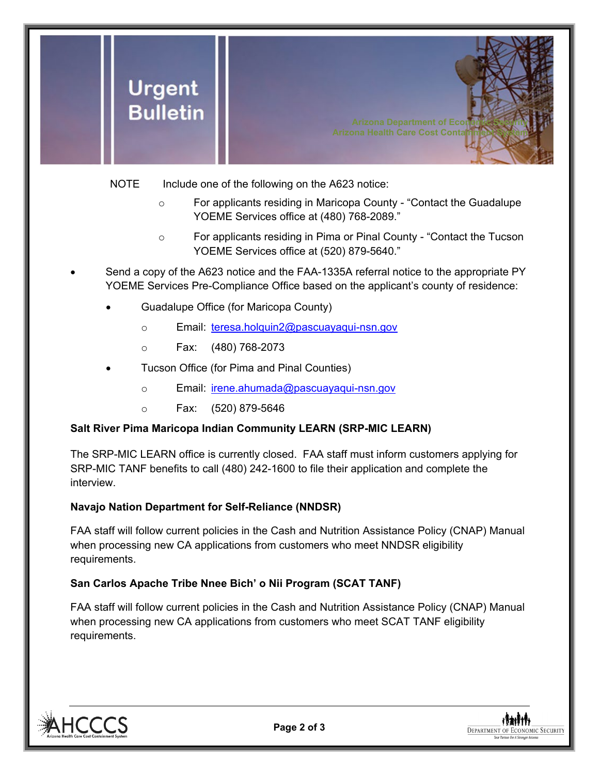

NOTE Include one of the following on the A623 notice:

- o For applicants residing in Maricopa County "Contact the Guadalupe YOEME Services office at (480) 768-2089."
- o For applicants residing in Pima or Pinal County "Contact the Tucson YOEME Services office at (520) 879-5640."
- Send a copy of the A623 notice and the FAA-1335A referral notice to the appropriate PY YOEME Services Pre-Compliance Office based on the applicant's county of residence:
	- Guadalupe Office (for Maricopa County)
		- o Email: [teresa.holquin2@pascuayaqui-nsn.gov](mailto:teresa.holquin2@pascuayaqui-nsn.gov)
		- o Fax: (480) 768-2073
	- Tucson Office (for Pima and Pinal Counties)
		- o Email: [irene.ahumada@pascuayaqui-nsn.gov](mailto:irene.ahumada@pascuayaqui-nsn.gov)
		- o Fax: (520) 879-5646

#### **Salt River Pima Maricopa Indian Community LEARN (SRP-MIC LEARN)**

The SRP-MIC LEARN office is currently closed. FAA staff must inform customers applying for SRP-MIC TANF benefits to call (480) 242-1600 to file their application and complete the interview.

#### **Navajo Nation Department for Self-Reliance (NNDSR)**

FAA staff will follow current policies in the Cash and Nutrition Assistance Policy (CNAP) Manual when processing new CA applications from customers who meet NNDSR eligibility requirements.

#### **San Carlos Apache Tribe Nnee Bich' o Nii Program (SCAT TANF)**

FAA staff will follow current policies in the Cash and Nutrition Assistance Policy (CNAP) Manual when processing new CA applications from customers who meet SCAT TANF eligibility requirements.